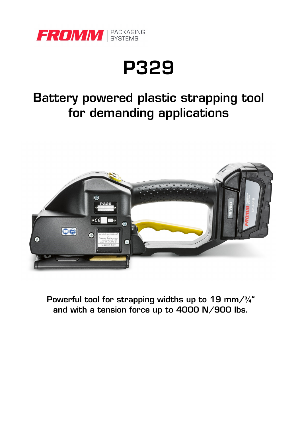

# **P329**

### **Battery powered plastic strapping tool for demanding applications**



**Powerful tool for strapping widths up to 19 mm/¾" and with a tension force up to 4000 N/900 lbs.**